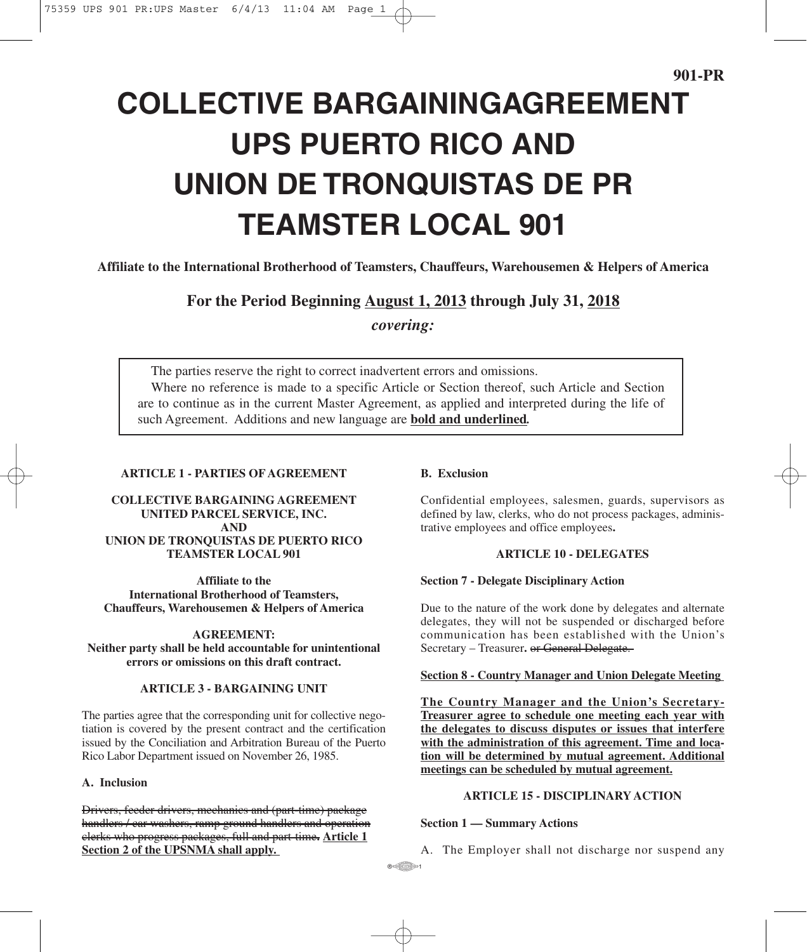# **COLLECTIVE BARGAININGAGREEMENT UPS PUERTO RICO AND UNION DE TRONQUISTAS DE PR TEAMSTER LOCAL 901**

**Affiliate to the International Brotherhood of Teamsters, Chauffeurs, Warehousemen & Helpers of America**

**For the Period Beginning August 1, 2013 through July 31, 2018**

*covering:*

The parties reserve the right to correct inadvertent errors and omissions. Where no reference is made to a specific Article or Section thereof, such Article and Section are to continue as in the current Master Agreement, as applied and interpreted during the life of such Agreement. Additions and new language are **bold and underlined***.*

# **ARTICLE 1 - PARTIES OF AGREEMENT**

**COLLECTIVE BARGAINING AGREEMENT UNITED PARCEL SERVICE, INC. AND UNION DE TRONQUISTAS DE PUERTO RICO TEAMSTER LOCAL 901**

**Affiliate to the International Brotherhood of Teamsters, Chauffeurs, Warehousemen & Helpers of America**

**AGREEMENT: Neither party shall be held accountable for unintentional errors or omissions on this draft contract.**

#### **ARTICLE 3 - BARGAINING UNIT**

The parties agree that the corresponding unit for collective negotiation is covered by the present contract and the certification issued by the Conciliation and Arbitration Bureau of the Puerto Rico Labor Department issued on November 26, 1985.

#### **A. Inclusion**

Drivers, feeder drivers, mechanics and (part-time) package handlers / car washers, ramp ground handlers and operation clerks who progress packages, full and part-time**. Article 1 Section 2 of the UPSNMA shall apply.**

# **B. Exclusion**

Confidential employees, salesmen, guards, supervisors as defined by law, clerks, who do not process packages, administrative employees and office employees**.**

## **ARTICLE 10 - DELEGATES**

#### **Section 7 - Delegate Disciplinary Action**

Due to the nature of the work done by delegates and alternate delegates, they will not be suspended or discharged before communication has been established with the Union's Secretary – Treasurer. or General Delegate.

## **Section 8 - Country Manager and Union Delegate Meeting**

**The Country Manager and the Union's Secretary-Treasurer agree to schedule one meeting each year with the delegates to discuss disputes or issues that interfere with the administration of this agreement. Time and location will be determined by mutual agreement. Additional meetings can be scheduled by mutual agreement.**

## **ARTICLE 15 - DISCIPLINARY ACTION**

#### **Section 1 — Summary Actions**

A. The Employer shall not discharge nor suspend any

 $\circ$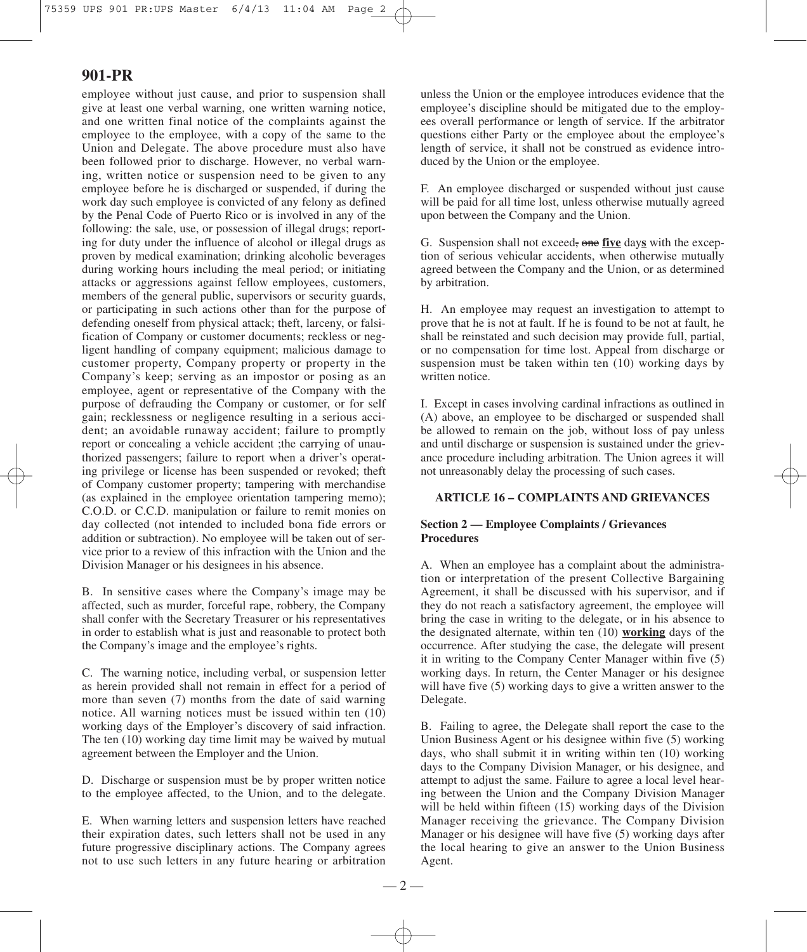employee without just cause, and prior to suspension shall give at least one verbal warning, one written warning notice, and one written final notice of the complaints against the employee to the employee, with a copy of the same to the Union and Delegate. The above procedure must also have been followed prior to discharge. However, no verbal warning, written notice or suspension need to be given to any employee before he is discharged or suspended, if during the work day such employee is convicted of any felony as defined by the Penal Code of Puerto Rico or is involved in any of the following: the sale, use, or possession of illegal drugs; reporting for duty under the influence of alcohol or illegal drugs as proven by medical examination; drinking alcoholic beverages during working hours including the meal period; or initiating attacks or aggressions against fellow employees, customers, members of the general public, supervisors or security guards, or participating in such actions other than for the purpose of defending oneself from physical attack; theft, larceny, or falsification of Company or customer documents; reckless or negligent handling of company equipment; malicious damage to customer property, Company property or property in the Company's keep; serving as an impostor or posing as an employee, agent or representative of the Company with the purpose of defrauding the Company or customer, or for self gain; recklessness or negligence resulting in a serious accident; an avoidable runaway accident; failure to promptly report or concealing a vehicle accident ;the carrying of unauthorized passengers; failure to report when a driver's operating privilege or license has been suspended or revoked; theft of Company customer property; tampering with merchandise (as explained in the employee orientation tampering memo); C.O.D. or C.C.D. manipulation or failure to remit monies on day collected (not intended to included bona fide errors or addition or subtraction). No employee will be taken out of service prior to a review of this infraction with the Union and the Division Manager or his designees in his absence.

B. In sensitive cases where the Company's image may be affected, such as murder, forceful rape, robbery, the Company shall confer with the Secretary Treasurer or his representatives in order to establish what is just and reasonable to protect both the Company's image and the employee's rights.

C. The warning notice, including verbal, or suspension letter as herein provided shall not remain in effect for a period of more than seven (7) months from the date of said warning notice. All warning notices must be issued within ten (10) working days of the Employer's discovery of said infraction. The ten (10) working day time limit may be waived by mutual agreement between the Employer and the Union.

D. Discharge or suspension must be by proper written notice to the employee affected, to the Union, and to the delegate.

E. When warning letters and suspension letters have reached their expiration dates, such letters shall not be used in any future progressive disciplinary actions. The Company agrees not to use such letters in any future hearing or arbitration unless the Union or the employee introduces evidence that the employee's discipline should be mitigated due to the employees overall performance or length of service. If the arbitrator questions either Party or the employee about the employee's length of service, it shall not be construed as evidence introduced by the Union or the employee.

F. An employee discharged or suspended without just cause will be paid for all time lost, unless otherwise mutually agreed upon between the Company and the Union.

G. Suspension shall not exceed, one **five** day**s** with the exception of serious vehicular accidents, when otherwise mutually agreed between the Company and the Union, or as determined by arbitration.

H. An employee may request an investigation to attempt to prove that he is not at fault. If he is found to be not at fault, he shall be reinstated and such decision may provide full, partial, or no compensation for time lost. Appeal from discharge or suspension must be taken within ten (10) working days by written notice.

I. Except in cases involving cardinal infractions as outlined in (A) above, an employee to be discharged or suspended shall be allowed to remain on the job, without loss of pay unless and until discharge or suspension is sustained under the grievance procedure including arbitration. The Union agrees it will not unreasonably delay the processing of such cases.

#### **ARTICLE 16 – COMPLAINTS AND GRIEVANCES**

## **Section 2 — Employee Complaints / Grievances Procedures**

A. When an employee has a complaint about the administration or interpretation of the present Collective Bargaining Agreement, it shall be discussed with his supervisor, and if they do not reach a satisfactory agreement, the employee will bring the case in writing to the delegate, or in his absence to the designated alternate, within ten (10) **working** days of the occurrence. After studying the case, the delegate will present it in writing to the Company Center Manager within five (5) working days. In return, the Center Manager or his designee will have five (5) working days to give a written answer to the Delegate.

B. Failing to agree, the Delegate shall report the case to the Union Business Agent or his designee within five (5) working days, who shall submit it in writing within ten (10) working days to the Company Division Manager, or his designee, and attempt to adjust the same. Failure to agree a local level hearing between the Union and the Company Division Manager will be held within fifteen (15) working days of the Division Manager receiving the grievance. The Company Division Manager or his designee will have five (5) working days after the local hearing to give an answer to the Union Business Agent.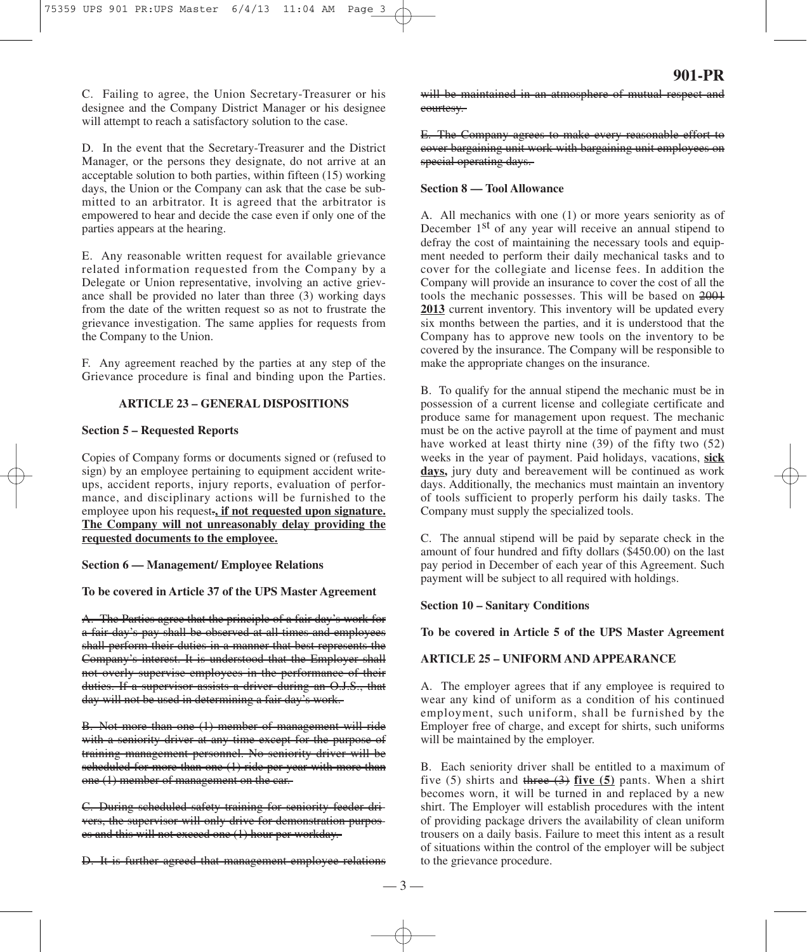C. Failing to agree, the Union Secretary-Treasurer or his designee and the Company District Manager or his designee will attempt to reach a satisfactory solution to the case.

D. In the event that the Secretary-Treasurer and the District Manager, or the persons they designate, do not arrive at an acceptable solution to both parties, within fifteen (15) working days, the Union or the Company can ask that the case be submitted to an arbitrator. It is agreed that the arbitrator is empowered to hear and decide the case even if only one of the parties appears at the hearing.

E. Any reasonable written request for available grievance related information requested from the Company by a Delegate or Union representative, involving an active grievance shall be provided no later than three (3) working days from the date of the written request so as not to frustrate the grievance investigation. The same applies for requests from the Company to the Union.

F. Any agreement reached by the parties at any step of the Grievance procedure is final and binding upon the Parties.

## **ARTICLE 23 – GENERAL DISPOSITIONS**

#### **Section 5 – Requested Reports**

Copies of Company forms or documents signed or (refused to sign) by an employee pertaining to equipment accident writeups, accident reports, injury reports, evaluation of performance, and disciplinary actions will be furnished to the employee upon his request.**, if not requested upon signature. The Company will not unreasonably delay providing the requested documents to the employee.**

**Section 6 — Management/ Employee Relations**

**To be covered in Article 37 of the UPS Master Agreement**

A. The Parties agree that the principle of a fair day's work for a fair day's pay shall be observed at all times and employees shall perform their duties in a manner that best represents the Company's interest. It is understood that the Employer shall not overly supervise employees in the performance of their duties. If a supervisor assists a driver during an O.J.S., that day will not be used in determining a fair day's work.

B. Not more than one (1) member of management will ride with a seniority driver at any time except for the purpose of training management personnel. No seniority driver will be scheduled for more than one (1) ride per year with more than one (1) member of management on the car.

C. During scheduled safety training for seniority feeder drivers, the supervisor will only drive for demonstration purposes and this will not exceed one (1) hour per workday.

D. It is further agreed that management-employee relations

will be maintained in an atmosphere of mutual respect and courtesy.

E. The Company agrees to make every reasonable effort to cover bargaining unit work with bargaining unit employees on special operating days.

## **Section 8 — Tool Allowance**

A. All mechanics with one (1) or more years seniority as of December 1<sup>st</sup> of any year will receive an annual stipend to defray the cost of maintaining the necessary tools and equipment needed to perform their daily mechanical tasks and to cover for the collegiate and license fees. In addition the Company will provide an insurance to cover the cost of all the tools the mechanic possesses. This will be based on 2001 **2013** current inventory. This inventory will be updated every six months between the parties, and it is understood that the Company has to approve new tools on the inventory to be covered by the insurance. The Company will be responsible to make the appropriate changes on the insurance.

B. To qualify for the annual stipend the mechanic must be in possession of a current license and collegiate certificate and produce same for management upon request. The mechanic must be on the active payroll at the time of payment and must have worked at least thirty nine (39) of the fifty two (52) weeks in the year of payment. Paid holidays, vacations, **sick days,** jury duty and bereavement will be continued as work days. Additionally, the mechanics must maintain an inventory of tools sufficient to properly perform his daily tasks. The Company must supply the specialized tools.

C. The annual stipend will be paid by separate check in the amount of four hundred and fifty dollars (\$450.00) on the last pay period in December of each year of this Agreement. Such payment will be subject to all required with holdings.

#### **Section 10 – Sanitary Conditions**

**To be covered in Article 5 of the UPS Master Agreement**

#### **ARTICLE 25 – UNIFORM AND APPEARANCE**

A. The employer agrees that if any employee is required to wear any kind of uniform as a condition of his continued employment, such uniform, shall be furnished by the Employer free of charge, and except for shirts, such uniforms will be maintained by the employer.

B. Each seniority driver shall be entitled to a maximum of five (5) shirts and three (3) **five (5)** pants. When a shirt becomes worn, it will be turned in and replaced by a new shirt. The Employer will establish procedures with the intent of providing package drivers the availability of clean uniform trousers on a daily basis. Failure to meet this intent as a result of situations within the control of the employer will be subject to the grievance procedure.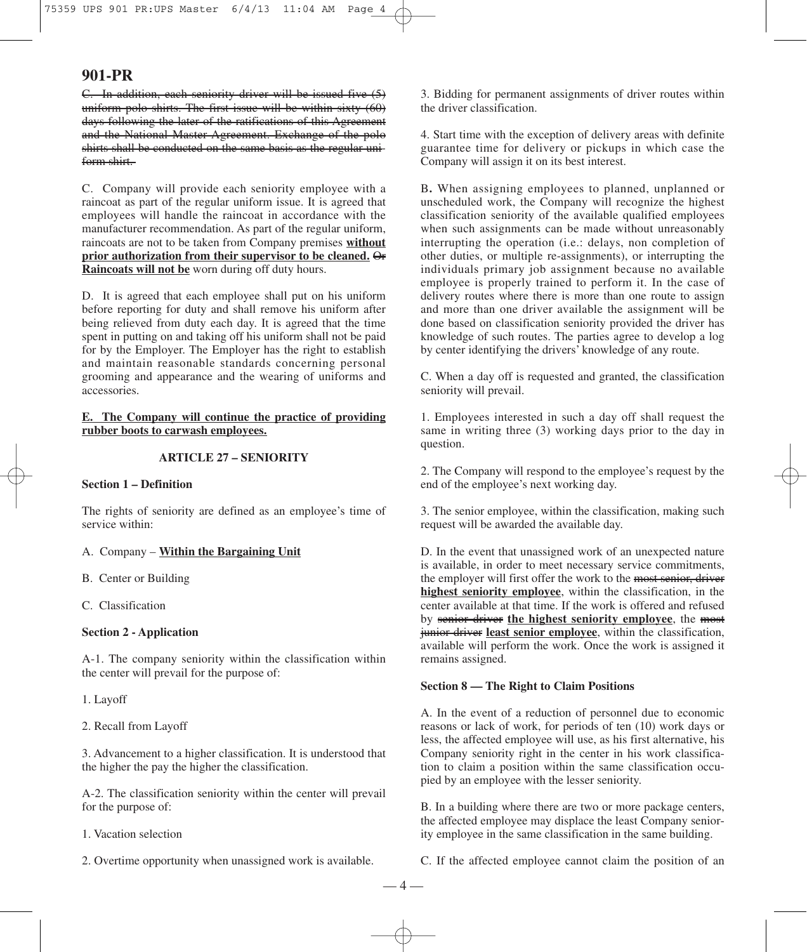C. In addition, each seniority driver will be issued five (5) uniform polo shirts. The first issue will be within sixty (60) days following the later of the ratifications of this Agreement and the National Master Agreement. Exchange of the polo shirts shall be conducted on the same basis as the regular uniform shirt.

C. Company will provide each seniority employee with a raincoat as part of the regular uniform issue. It is agreed that employees will handle the raincoat in accordance with the manufacturer recommendation. As part of the regular uniform, raincoats are not to be taken from Company premises **without prior authorization from their supervisor to be cleaned.** Or **Raincoats will not be** worn during off duty hours.

D. It is agreed that each employee shall put on his uniform before reporting for duty and shall remove his uniform after being relieved from duty each day. It is agreed that the time spent in putting on and taking off his uniform shall not be paid for by the Employer. The Employer has the right to establish and maintain reasonable standards concerning personal grooming and appearance and the wearing of uniforms and accessories.

**E. The Company will continue the practice of providing rubber boots to carwash employees.**

#### **ARTICLE 27 – SENIORITY**

#### **Section 1 – Definition**

The rights of seniority are defined as an employee's time of service within:

A. Company – **Within the Bargaining Unit**

B. Center or Building

C. Classification

## **Section 2 - Application**

A-1. The company seniority within the classification within the center will prevail for the purpose of:

1. Layoff

2. Recall from Layoff

3. Advancement to a higher classification. It is understood that the higher the pay the higher the classification.

A-2. The classification seniority within the center will prevail for the purpose of:

1. Vacation selection

2. Overtime opportunity when unassigned work is available.

3. Bidding for permanent assignments of driver routes within the driver classification.

4. Start time with the exception of delivery areas with definite guarantee time for delivery or pickups in which case the Company will assign it on its best interest.

B**.** When assigning employees to planned, unplanned or unscheduled work, the Company will recognize the highest classification seniority of the available qualified employees when such assignments can be made without unreasonably interrupting the operation (i.e.: delays, non completion of other duties, or multiple re-assignments), or interrupting the individuals primary job assignment because no available employee is properly trained to perform it. In the case of delivery routes where there is more than one route to assign and more than one driver available the assignment will be done based on classification seniority provided the driver has knowledge of such routes. The parties agree to develop a log by center identifying the drivers' knowledge of any route.

C. When a day off is requested and granted, the classification seniority will prevail.

1. Employees interested in such a day off shall request the same in writing three (3) working days prior to the day in question.

2. The Company will respond to the employee's request by the end of the employee's next working day.

3. The senior employee, within the classification, making such request will be awarded the available day.

D. In the event that unassigned work of an unexpected nature is available, in order to meet necessary service commitments, the employer will first offer the work to the most senior, driver **highest seniority employee**, within the classification, in the center available at that time. If the work is offered and refused by senior driver **the highest seniority employee**, the most junior driver **least senior employee**, within the classification, available will perform the work. Once the work is assigned it remains assigned.

## **Section 8 — The Right to Claim Positions**

A. In the event of a reduction of personnel due to economic reasons or lack of work, for periods of ten (10) work days or less, the affected employee will use, as his first alternative, his Company seniority right in the center in his work classification to claim a position within the same classification occupied by an employee with the lesser seniority.

B. In a building where there are two or more package centers, the affected employee may displace the least Company seniority employee in the same classification in the same building.

C. If the affected employee cannot claim the position of an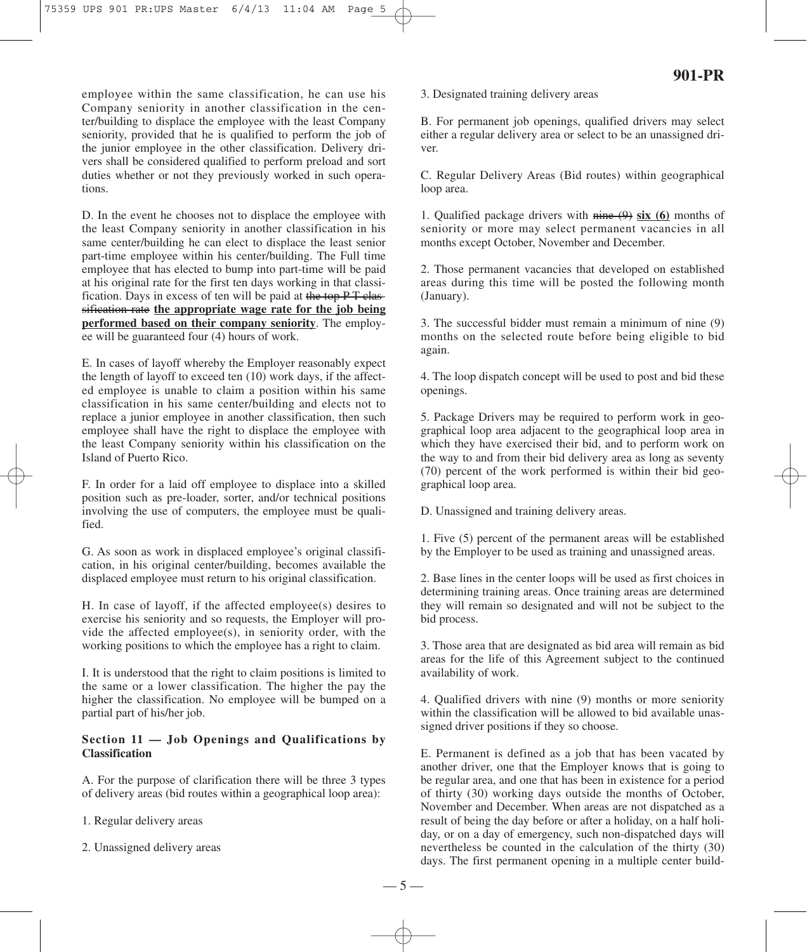employee within the same classification, he can use his Company seniority in another classification in the center/building to displace the employee with the least Company seniority, provided that he is qualified to perform the job of the junior employee in the other classification. Delivery drivers shall be considered qualified to perform preload and sort duties whether or not they previously worked in such operations.

D. In the event he chooses not to displace the employee with the least Company seniority in another classification in his same center/building he can elect to displace the least senior part-time employee within his center/building. The Full time employee that has elected to bump into part-time will be paid at his original rate for the first ten days working in that classification. Days in excess of ten will be paid at the top PT classification rate **the appropriate wage rate for the job being performed based on their company seniority**. The employee will be guaranteed four (4) hours of work.

E. In cases of layoff whereby the Employer reasonably expect the length of layoff to exceed ten (10) work days, if the affected employee is unable to claim a position within his same classification in his same center/building and elects not to replace a junior employee in another classification, then such employee shall have the right to displace the employee with the least Company seniority within his classification on the Island of Puerto Rico.

F. In order for a laid off employee to displace into a skilled position such as pre-loader, sorter, and/or technical positions involving the use of computers, the employee must be qualified.

G. As soon as work in displaced employee's original classification, in his original center/building, becomes available the displaced employee must return to his original classification.

H. In case of layoff, if the affected employee(s) desires to exercise his seniority and so requests, the Employer will provide the affected employee(s), in seniority order, with the working positions to which the employee has a right to claim.

I. It is understood that the right to claim positions is limited to the same or a lower classification. The higher the pay the higher the classification. No employee will be bumped on a partial part of his/her job.

## **Section 11 — Job Openings and Qualifications by Classification**

A. For the purpose of clarification there will be three 3 types of delivery areas (bid routes within a geographical loop area):

1. Regular delivery areas

2. Unassigned delivery areas

## 3. Designated training delivery areas

B. For permanent job openings, qualified drivers may select either a regular delivery area or select to be an unassigned driver.

C. Regular Delivery Areas (Bid routes) within geographical loop area.

1. Qualified package drivers with nine (9) **six (6)** months of seniority or more may select permanent vacancies in all months except October, November and December.

2. Those permanent vacancies that developed on established areas during this time will be posted the following month (January).

3. The successful bidder must remain a minimum of nine (9) months on the selected route before being eligible to bid again.

4. The loop dispatch concept will be used to post and bid these openings.

5. Package Drivers may be required to perform work in geographical loop area adjacent to the geographical loop area in which they have exercised their bid, and to perform work on the way to and from their bid delivery area as long as seventy (70) percent of the work performed is within their bid geographical loop area.

D. Unassigned and training delivery areas.

1. Five (5) percent of the permanent areas will be established by the Employer to be used as training and unassigned areas.

2. Base lines in the center loops will be used as first choices in determining training areas. Once training areas are determined they will remain so designated and will not be subject to the bid process.

3. Those area that are designated as bid area will remain as bid areas for the life of this Agreement subject to the continued availability of work.

4. Qualified drivers with nine (9) months or more seniority within the classification will be allowed to bid available unassigned driver positions if they so choose.

E. Permanent is defined as a job that has been vacated by another driver, one that the Employer knows that is going to be regular area, and one that has been in existence for a period of thirty (30) working days outside the months of October, November and December. When areas are not dispatched as a result of being the day before or after a holiday, on a half holiday, or on a day of emergency, such non-dispatched days will nevertheless be counted in the calculation of the thirty (30) days. The first permanent opening in a multiple center build-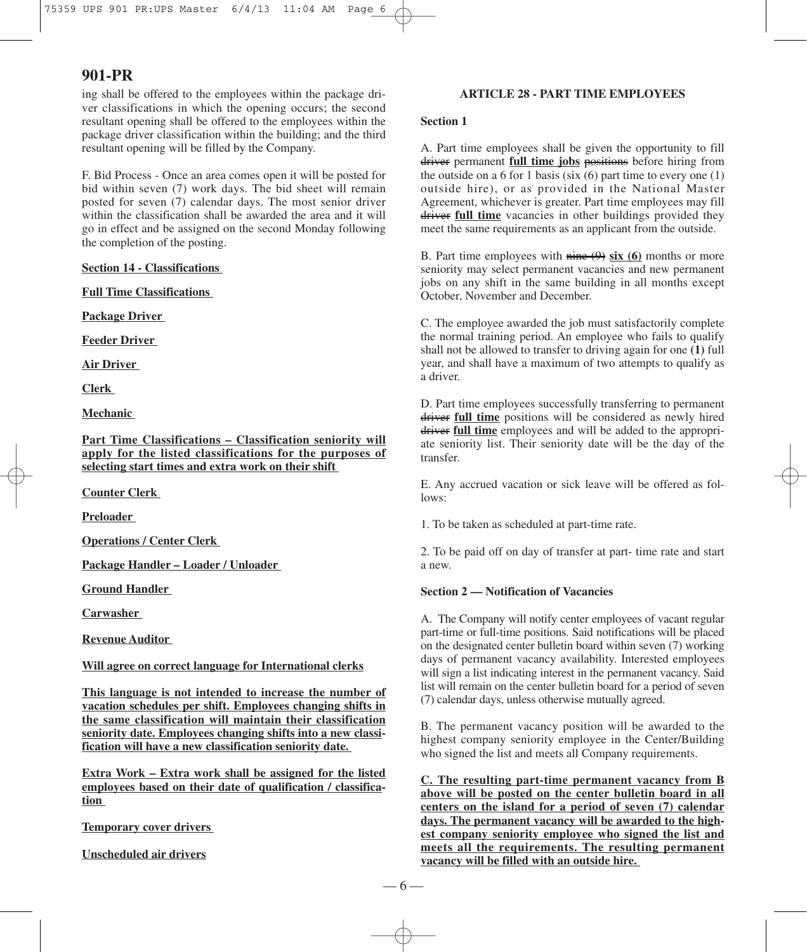ing shall be offered to the employees within the package driver classifications in which the opening occurs; the second resultant opening shall be offered to the employees within the package driver classification within the building; and the third resultant opening will be filled by the Company.

F. Bid Process - Once an area comes open it will be posted for bid within seven (7) work days. The bid sheet will remain posted for seven (7) calendar days. The most senior driver within the classification shall be awarded the area and it will go in effect and be assigned on the second Monday following the completion of the posting.

## **Section 14 - Classifications**

**Full Time Classifications**

**Package Driver**

**Feeder Driver**

**Air Driver**

**Clerk**

**Mechanic**

**Part Time Classifications – Classification seniority will apply for the listed classifications for the purposes of selecting start times and extra work on their shift**

**Counter Clerk**

**Preloader**

**Operations / Center Clerk**

**Package Handler – Loader / Unloader**

**Ground Handler**

**Carwasher**

**Revenue Auditor**

#### **Will agree on correct language for International clerks**

**This language is not intended to increase the number of vacation schedules per shift. Employees changing shifts in the same classification will maintain their classification seniority date. Employees changing shifts into a new classification will have a new classification seniority date.**

**Extra Work – Extra work shall be assigned for the listed employees based on their date of qualification / classification**

**Temporary cover drivers**

**Unscheduled air drivers**

## **ARTICLE 28 - PART TIME EMPLOYEES**

## **Section 1**

A. Part time employees shall be given the opportunity to fill driver permanent **full time jobs** positions before hiring from the outside on a  $6$  for 1 basis (six  $(6)$  part time to every one  $(1)$ ) outside hire), or as provided in the National Master Agreement, whichever is greater. Part time employees may fill driver full time vacancies in other buildings provided they meet the same requirements as an applicant from the outside.

B. Part time employees with nine (9) **six (6)** months or more seniority may select permanent vacancies and new permanent jobs on any shift in the same building in all months except October, November and December.

C. The employee awarded the job must satisfactorily complete the normal training period. An employee who fails to qualify shall not be allowed to transfer to driving again for one **(1)** full year, and shall have a maximum of two attempts to qualify as a driver.

D. Part time employees successfully transferring to permanent driver full time positions will be considered as newly hired driver **full time** employees and will be added to the appropriate seniority list. Their seniority date will be the day of the transfer.

E. Any accrued vacation or sick leave will be offered as follows:

1. To be taken as scheduled at part-time rate.

2. To be paid off on day of transfer at part- time rate and start a new.

## **Section 2 — Notification of Vacancies**

A. The Company will notify center employees of vacant regular part-time or full-time positions. Said notifications will be placed on the designated center bulletin board within seven (7) working days of permanent vacancy availability. Interested employees will sign a list indicating interest in the permanent vacancy. Said list will remain on the center bulletin board for a period of seven (7) calendar days, unless otherwise mutually agreed.

B. The permanent vacancy position will be awarded to the highest company seniority employee in the Center/Building who signed the list and meets all Company requirements.

**C. The resulting part-time permanent vacancy from B above will be posted on the center bulletin board in all centers on the island for a period of seven (7) calendar days. The permanent vacancy will be awarded to the highest company seniority employee who signed the list and meets all the requirements. The resulting permanent vacancy will be filled with an outside hire.**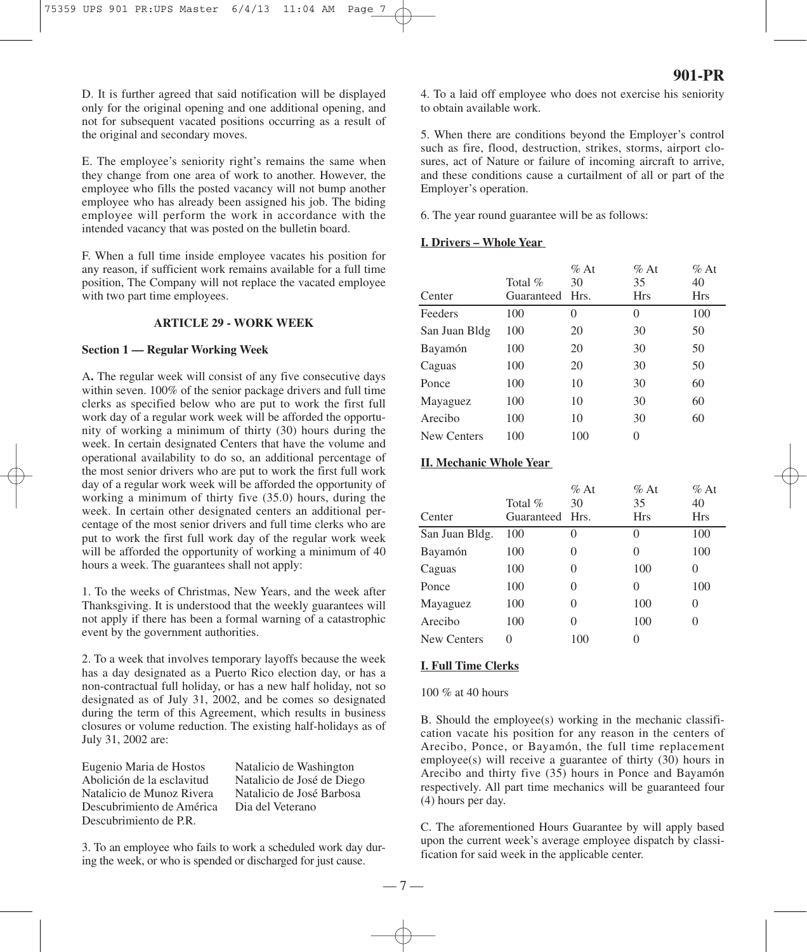D. It is further agreed that said notification will be displayed only for the original opening and one additional opening, and not for subsequent vacated positions occurring as a result of the original and secondary moves.

E. The employee's seniority right's remains the same when they change from one area of work to another. However, the employee who fills the posted vacancy will not bump another employee who has already been assigned his job. The biding employee will perform the work in accordance with the intended vacancy that was posted on the bulletin board.

F. When a full time inside employee vacates his position for any reason, if sufficient work remains available for a full time position, The Company will not replace the vacated employee with two part time employees.

#### **ARTICLE 29 - WORK WEEK**

#### **Section 1 — Regular Working Week**

A**.** The regular week will consist of any five consecutive days within seven. 100% of the senior package drivers and full time clerks as specified below who are put to work the first full work day of a regular work week will be afforded the opportunity of working a minimum of thirty (30) hours during the week. In certain designated Centers that have the volume and operational availability to do so, an additional percentage of the most senior drivers who are put to work the first full work day of a regular work week will be afforded the opportunity of working a minimum of thirty five (35.0) hours, during the week. In certain other designated centers an additional percentage of the most senior drivers and full time clerks who are put to work the first full work day of the regular work week will be afforded the opportunity of working a minimum of 40 hours a week. The guarantees shall not apply:

1. To the weeks of Christmas, New Years, and the week after Thanksgiving. It is understood that the weekly guarantees will not apply if there has been a formal warning of a catastrophic event by the government authorities.

2. To a week that involves temporary layoffs because the week has a day designated as a Puerto Rico election day, or has a non-contractual full holiday, or has a new half holiday, not so designated as of July 31, 2002, and be comes so designated during the term of this Agreement, which results in business closures or volume reduction. The existing half-holidays as of July 31, 2002 are:

Eugenio Maria de Hostos Natalicio de Washington Abolición de la esclavitud Natalicio de José de Diego Descubrimiento de América Dia del Veterano Descubrimiento de P.R.

Natalicio de José Barbosa

3. To an employee who fails to work a scheduled work day during the week, or who is spended or discharged for just cause.

4. To a laid off employee who does not exercise his seniority to obtain available work.

5. When there are conditions beyond the Employer's control such as fire, flood, destruction, strikes, storms, airport closures, act of Nature or failure of incoming aircraft to arrive, and these conditions cause a curtailment of all or part of the Employer's operation.

6. The year round guarantee will be as follows:

## **I. Drivers – Whole Year**

| Center        | Total $%$<br>Guaranteed | $\%$ At<br>30<br>Hrs. | $\%$ At<br>35<br><b>Hrs</b> | $\%$ At<br>40<br><b>Hrs</b> |
|---------------|-------------------------|-----------------------|-----------------------------|-----------------------------|
| Feeders       | 100                     | $\Omega$              | 0                           | 100                         |
| San Juan Bldg | 100                     | 20                    | 30                          | 50                          |
| Bayamón       | 100                     | 20                    | 30                          | 50                          |
| Caguas        | 100                     | 20                    | 30                          | 50                          |
| Ponce         | 100                     | 10                    | 30                          | 60                          |
| Mayaguez      | 100                     | 10                    | 30                          | 60                          |
| Arecibo       | 100                     | 10                    | 30                          | 60                          |
| New Centers   | 100                     | 100                   | 0                           |                             |

## **II. Mechanic Whole Year**

| Center         | Total $%$<br>Guaranteed Hrs. | $%$ At<br>30 | $%$ At<br>35<br>Hrs | $%$ At<br>40<br>Hrs |
|----------------|------------------------------|--------------|---------------------|---------------------|
| San Juan Bldg. | 100                          | $\theta$     | 0                   | 100                 |
| Bayamón        | 100                          | 0            | $\Omega$            | 100                 |
| Caguas         | 100                          | 0            | 100                 | 0                   |
| Ponce          | 100                          | 0            | $\theta$            | 100                 |
| Mayaguez       | 100                          | 0            | 100                 | 0                   |
| Arecibo        | 100                          | 0            | 100                 | $\left( \right)$    |
| New Centers    | 0                            | 100          | 0                   |                     |

#### **I. Full Time Clerks**

100 % at 40 hours

B. Should the employee(s) working in the mechanic classification vacate his position for any reason in the centers of Arecibo, Ponce, or Bayamón, the full time replacement employee(s) will receive a guarantee of thirty (30) hours in Arecibo and thirty five (35) hours in Ponce and Bayamón respectively. All part time mechanics will be guaranteed four (4) hours per day.

C. The aforementioned Hours Guarantee by will apply based upon the current week's average employee dispatch by classification for said week in the applicable center.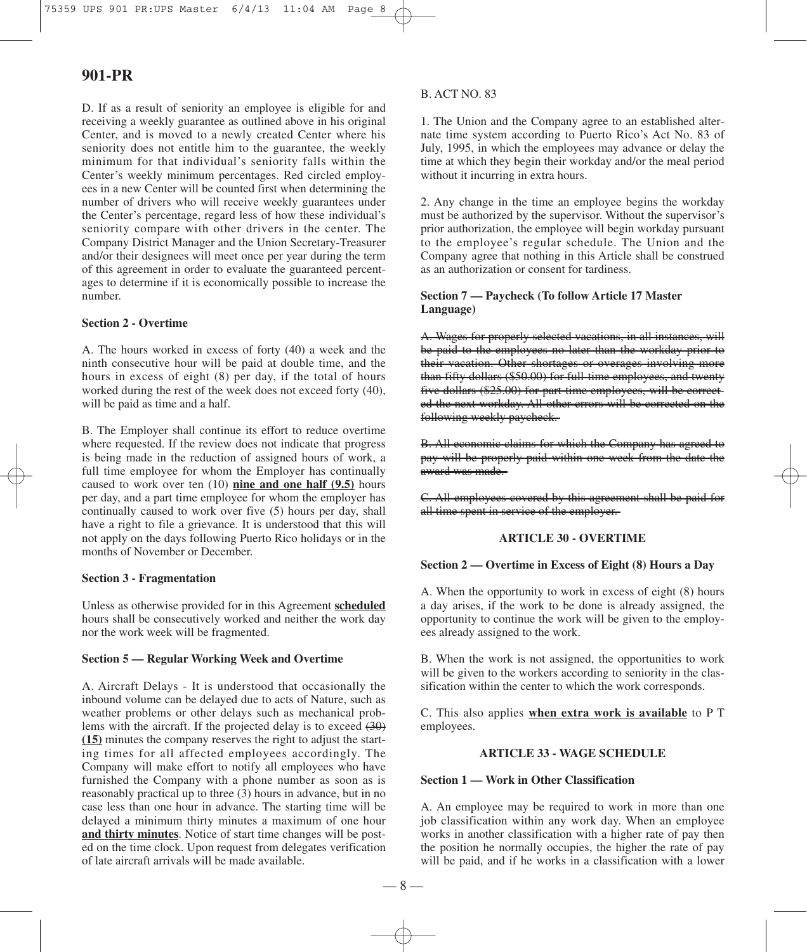D. If as a result of seniority an employee is eligible for and receiving a weekly guarantee as outlined above in his original Center, and is moved to a newly created Center where his seniority does not entitle him to the guarantee, the weekly minimum for that individual's seniority falls within the Center's weekly minimum percentages. Red circled employees in a new Center will be counted first when determining the number of drivers who will receive weekly guarantees under the Center's percentage, regard less of how these individual's seniority compare with other drivers in the center. The Company District Manager and the Union Secretary-Treasurer and/or their designees will meet once per year during the term of this agreement in order to evaluate the guaranteed percentages to determine if it is economically possible to increase the number.

## **Section 2 - Overtime**

A. The hours worked in excess of forty (40) a week and the ninth consecutive hour will be paid at double time, and the hours in excess of eight (8) per day, if the total of hours worked during the rest of the week does not exceed forty (40), will be paid as time and a half.

B. The Employer shall continue its effort to reduce overtime where requested. If the review does not indicate that progress is being made in the reduction of assigned hours of work, a full time employee for whom the Employer has continually caused to work over ten (10) **nine and one half (9.5)** hours per day, and a part time employee for whom the employer has continually caused to work over five (5) hours per day, shall have a right to file a grievance. It is understood that this will not apply on the days following Puerto Rico holidays or in the months of November or December.

## **Section 3 - Fragmentation**

Unless as otherwise provided for in this Agreement **scheduled** hours shall be consecutively worked and neither the work day nor the work week will be fragmented.

#### **Section 5 — Regular Working Week and Overtime**

A. Aircraft Delays - It is understood that occasionally the inbound volume can be delayed due to acts of Nature, such as weather problems or other delays such as mechanical problems with the aircraft. If the projected delay is to exceed (30) **(15)** minutes the company reserves the right to adjust the starting times for all affected employees accordingly. The Company will make effort to notify all employees who have furnished the Company with a phone number as soon as is reasonably practical up to three (3) hours in advance, but in no case less than one hour in advance. The starting time will be delayed a minimum thirty minutes a maximum of one hour **and thirty minutes**. Notice of start time changes will be posted on the time clock. Upon request from delegates verification of late aircraft arrivals will be made available.

## B. ACT NO. 83

1. The Union and the Company agree to an established alternate time system according to Puerto Rico's Act No. 83 of July, 1995, in which the employees may advance or delay the time at which they begin their workday and/or the meal period without it incurring in extra hours.

2. Any change in the time an employee begins the workday must be authorized by the supervisor. Without the supervisor's prior authorization, the employee will begin workday pursuant to the employee's regular schedule. The Union and the Company agree that nothing in this Article shall be construed as an authorization or consent for tardiness.

## **Section 7 — Paycheck (To follow Article 17 Master Language)**

A. Wages for properly selected vacations, in all instances, will be paid to the employees no later than the workday prior to their vacation. Other shortages or overages involving more than fifty dollars (\$50.00) for full-time employees, and twenty five dollars (\$25.00) for part-time employees, will be corrected the next workday. All other errors will be corrected on the following weekly paycheck.

B. All economic claims for which the Company has agreed to pay will be properly paid within one week from the date the award was made.

C. All employees covered by this agreement shall be paid for all time spent in service of the employer.

#### **ARTICLE 30 - OVERTIME**

## **Section 2 — Overtime in Excess of Eight (8) Hours a Day**

A. When the opportunity to work in excess of eight (8) hours a day arises, if the work to be done is already assigned, the opportunity to continue the work will be given to the employees already assigned to the work.

B. When the work is not assigned, the opportunities to work will be given to the workers according to seniority in the classification within the center to which the work corresponds.

C. This also applies **when extra work is available** to P T employees.

# **ARTICLE 33 - WAGE SCHEDULE**

#### **Section 1 — Work in Other Classification**

A. An employee may be required to work in more than one job classification within any work day. When an employee works in another classification with a higher rate of pay then the position he normally occupies, the higher the rate of pay will be paid, and if he works in a classification with a lower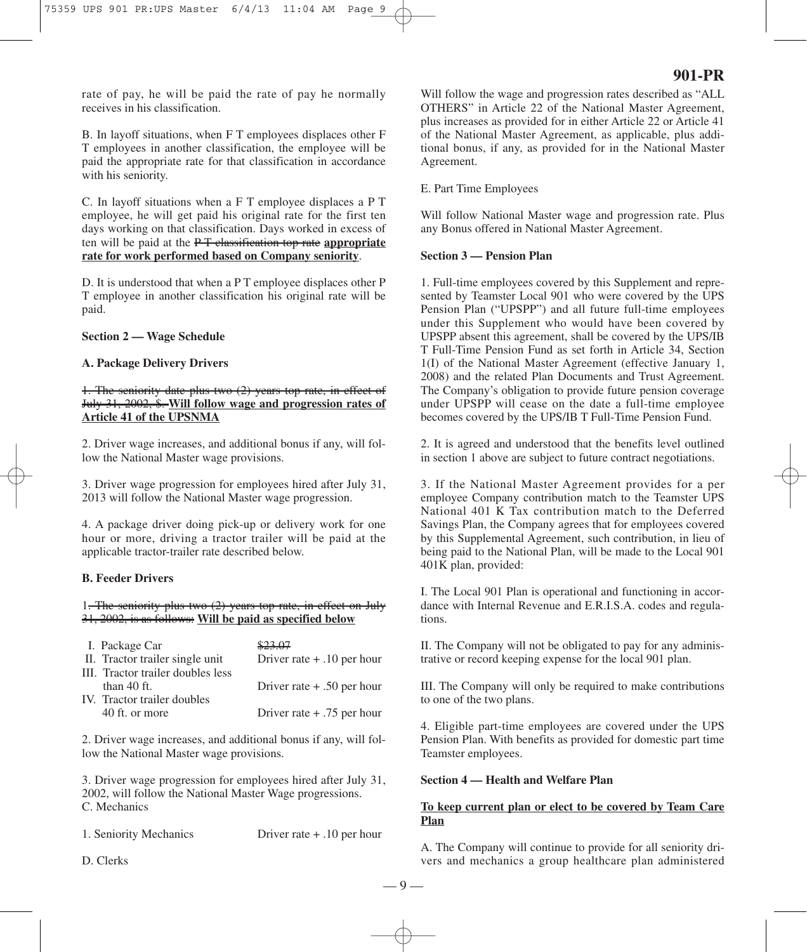rate of pay, he will be paid the rate of pay he normally receives in his classification.

B. In layoff situations, when F T employees displaces other F T employees in another classification, the employee will be paid the appropriate rate for that classification in accordance with his seniority.

C. In layoff situations when a F T employee displaces a P T employee, he will get paid his original rate for the first ten days working on that classification. Days worked in excess of ten will be paid at the P T classification top rate **appropriate rate for work performed based on Company seniority**.

D. It is understood that when a P T employee displaces other P T employee in another classification his original rate will be paid.

#### **Section 2 — Wage Schedule**

## **A. Package Delivery Drivers**

## 1. The seniority date plus two (2) years top rate, in effect of July 31, 2002, \$. **Will follow wage and progression rates of Article 41 of the UPSNMA**

2. Driver wage increases, and additional bonus if any, will follow the National Master wage provisions.

3. Driver wage progression for employees hired after July 31, 2013 will follow the National Master wage progression.

4. A package driver doing pick-up or delivery work for one hour or more, driving a tractor trailer will be paid at the applicable tractor-trailer rate described below.

## **B. Feeder Drivers**

1. The seniority plus two (2) years top rate, in effect on July 31, 2002, is as follows: **Will be paid as specified below**

| I. Package Car                    |                              |
|-----------------------------------|------------------------------|
| II. Tractor trailer single unit   | Driver rate $+ .10$ per hour |
| III. Tractor trailer doubles less |                              |
| than $40$ ft.                     | Driver rate $+ .50$ per hour |
| IV. Tractor trailer doubles       |                              |
| 40 ft. or more                    | Driver rate $+ .75$ per hour |
|                                   |                              |

2. Driver wage increases, and additional bonus if any, will follow the National Master wage provisions.

3. Driver wage progression for employees hired after July 31, 2002, will follow the National Master Wage progressions. C. Mechanics

1. Seniority Mechanics Driver rate + .10 per hour

D. Clerks

Will follow the wage and progression rates described as "ALL OTHERS" in Article 22 of the National Master Agreement, plus increases as provided for in either Article 22 or Article 41 of the National Master Agreement, as applicable, plus additional bonus, if any, as provided for in the National Master Agreement.

#### E. Part Time Employees

Will follow National Master wage and progression rate. Plus any Bonus offered in National Master Agreement.

#### **Section 3 — Pension Plan**

1. Full-time employees covered by this Supplement and represented by Teamster Local 901 who were covered by the UPS Pension Plan ("UPSPP") and all future full-time employees under this Supplement who would have been covered by UPSPP absent this agreement, shall be covered by the UPS/IB T Full-Time Pension Fund as set forth in Article 34, Section 1(I) of the National Master Agreement (effective January 1, 2008) and the related Plan Documents and Trust Agreement. The Company's obligation to provide future pension coverage under UPSPP will cease on the date a full-time employee becomes covered by the UPS/IB T Full-Time Pension Fund.

2. It is agreed and understood that the benefits level outlined in section 1 above are subject to future contract negotiations.

3. If the National Master Agreement provides for a per employee Company contribution match to the Teamster UPS National 401 K Tax contribution match to the Deferred Savings Plan, the Company agrees that for employees covered by this Supplemental Agreement, such contribution, in lieu of being paid to the National Plan, will be made to the Local 901 401K plan, provided:

I. The Local 901 Plan is operational and functioning in accordance with Internal Revenue and E.R.I.S.A. codes and regulations.

II. The Company will not be obligated to pay for any administrative or record keeping expense for the local 901 plan.

III. The Company will only be required to make contributions to one of the two plans.

4. Eligible part-time employees are covered under the UPS Pension Plan. With benefits as provided for domestic part time Teamster employees.

## **Section 4 — Health and Welfare Plan**

## **To keep current plan or elect to be covered by Team Care Plan**

A. The Company will continue to provide for all seniority drivers and mechanics a group healthcare plan administered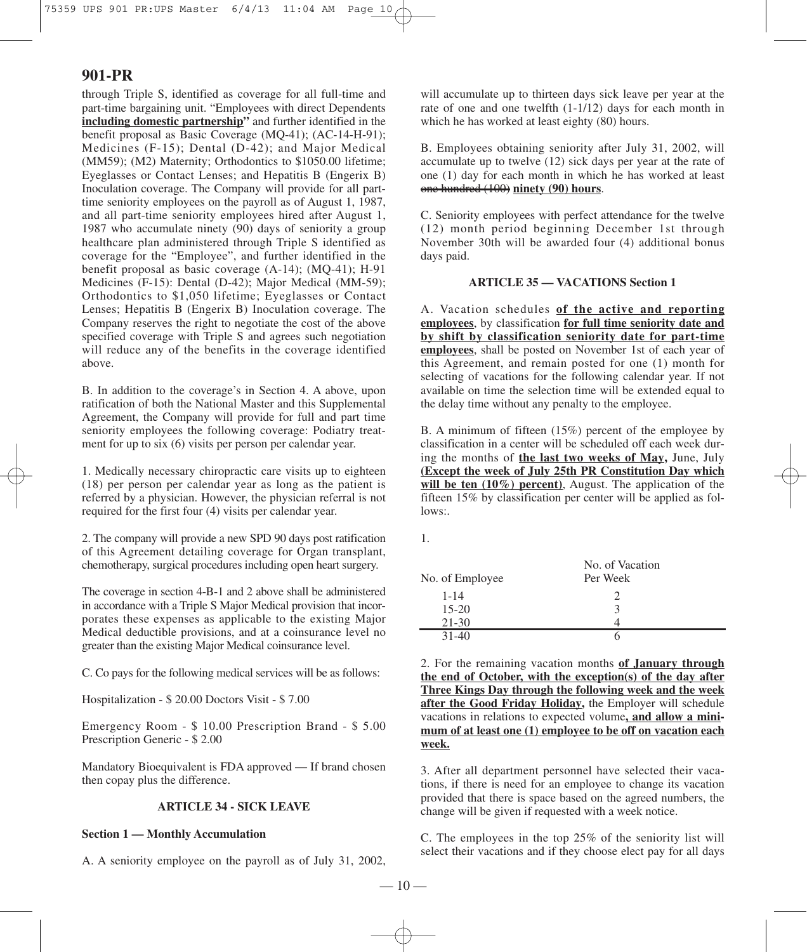through Triple S, identified as coverage for all full-time and part-time bargaining unit. "Employees with direct Dependents **including domestic partnership"** and further identified in the benefit proposal as Basic Coverage (MQ-41); (AC-14-H-91); Medicines (F-15); Dental (D-42); and Major Medical (MM59); (M2) Maternity; Orthodontics to \$1050.00 lifetime; Eyeglasses or Contact Lenses; and Hepatitis B (Engerix B) Inoculation coverage. The Company will provide for all parttime seniority employees on the payroll as of August 1, 1987, and all part-time seniority employees hired after August 1, 1987 who accumulate ninety (90) days of seniority a group healthcare plan administered through Triple S identified as coverage for the "Employee", and further identified in the benefit proposal as basic coverage (A-14); (MQ-41); H-91 Medicines (F-15): Dental (D-42); Major Medical (MM-59); Orthodontics to \$1,050 lifetime; Eyeglasses or Contact Lenses; Hepatitis B (Engerix B) Inoculation coverage. The Company reserves the right to negotiate the cost of the above specified coverage with Triple S and agrees such negotiation will reduce any of the benefits in the coverage identified above.

B. In addition to the coverage's in Section 4. A above, upon ratification of both the National Master and this Supplemental Agreement, the Company will provide for full and part time seniority employees the following coverage: Podiatry treatment for up to six (6) visits per person per calendar year.

1. Medically necessary chiropractic care visits up to eighteen (18) per person per calendar year as long as the patient is referred by a physician. However, the physician referral is not required for the first four (4) visits per calendar year.

2. The company will provide a new SPD 90 days post ratification of this Agreement detailing coverage for Organ transplant, chemotherapy, surgical procedures including open heart surgery.

The coverage in section 4-B-1 and 2 above shall be administered in accordance with a Triple S Major Medical provision that incorporates these expenses as applicable to the existing Major Medical deductible provisions, and at a coinsurance level no greater than the existing Major Medical coinsurance level.

C. Co pays for the following medical services will be as follows:

Hospitalization - \$ 20.00 Doctors Visit - \$ 7.00

Emergency Room - \$ 10.00 Prescription Brand - \$ 5.00 Prescription Generic - \$ 2.00

Mandatory Bioequivalent is FDA approved — If brand chosen then copay plus the difference.

## **ARTICLE 34 - SICK LEAVE**

## **Section 1 — Monthly Accumulation**

A. A seniority employee on the payroll as of July 31, 2002,

will accumulate up to thirteen days sick leave per year at the rate of one and one twelfth (1-1/12) days for each month in which he has worked at least eighty (80) hours.

B. Employees obtaining seniority after July 31, 2002, will accumulate up to twelve (12) sick days per year at the rate of one (1) day for each month in which he has worked at least one hundred (100) **ninety (90) hours**.

C. Seniority employees with perfect attendance for the twelve (12) month period beginning December 1st through November 30th will be awarded four (4) additional bonus days paid.

#### **ARTICLE 35 — VACATIONS Section 1**

A. Vacation schedules **of the active and reporting employees**, by classification **for full time seniority date and by shift by classification seniority date for part-time employees**, shall be posted on November 1st of each year of this Agreement, and remain posted for one (1) month for selecting of vacations for the following calendar year. If not available on time the selection time will be extended equal to the delay time without any penalty to the employee.

B. A minimum of fifteen (15%) percent of the employee by classification in a center will be scheduled off each week during the months of **the last two weeks of May,** June, July **(Except the week of July 25th PR Constitution Day which will be ten (10%) percent)**, August. The application of the fifteen 15% by classification per center will be applied as follows:.

1.

| No. of Employee | No. of Vacation<br>Per Week |  |
|-----------------|-----------------------------|--|
| $1 - 14$        | $\mathcal{D}_{\mathcal{L}}$ |  |
| $15 - 20$       | 3                           |  |
| $21 - 30$       | 4                           |  |
| $31-40$         | n                           |  |
|                 |                             |  |

2. For the remaining vacation months **of January through the end of October, with the exception(s) of the day after Three Kings Day through the following week and the week after the Good Friday Holiday,** the Employer will schedule vacations in relations to expected volume**, and allow a minimum of at least one (1) employee to be off on vacation each week.**

3. After all department personnel have selected their vacations, if there is need for an employee to change its vacation provided that there is space based on the agreed numbers, the change will be given if requested with a week notice.

C. The employees in the top 25% of the seniority list will select their vacations and if they choose elect pay for all days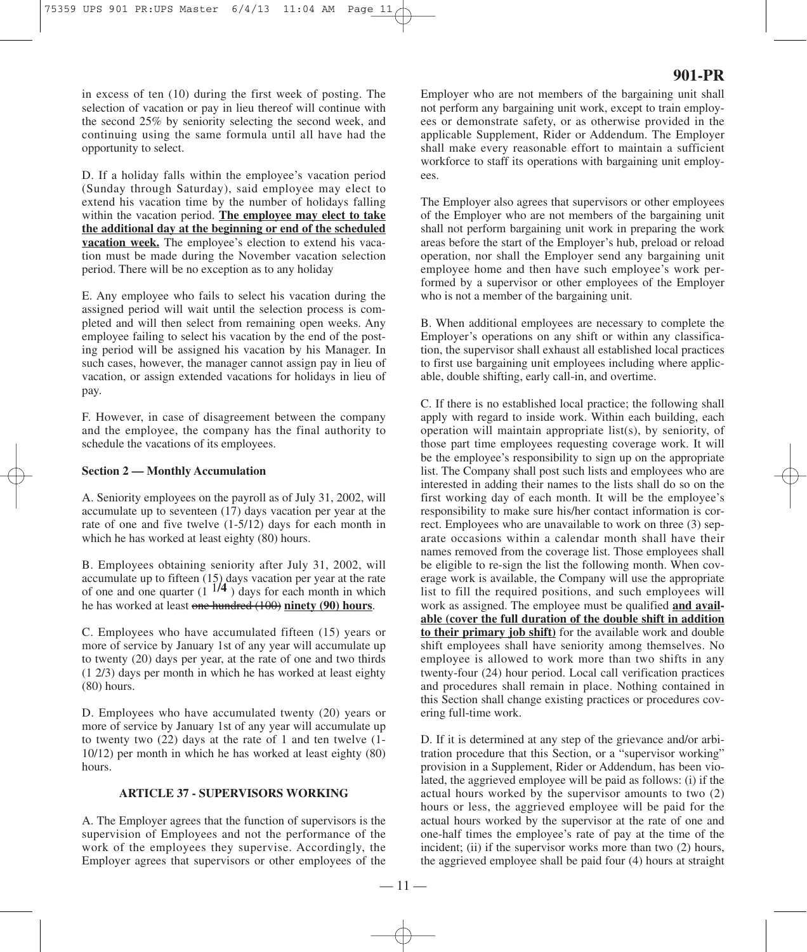in excess of ten (10) during the first week of posting. The selection of vacation or pay in lieu thereof will continue with the second 25% by seniority selecting the second week, and continuing using the same formula until all have had the opportunity to select.

D. If a holiday falls within the employee's vacation period (Sunday through Saturday), said employee may elect to extend his vacation time by the number of holidays falling within the vacation period. **The employee may elect to take the additional day at the beginning or end of the scheduled vacation week.** The employee's election to extend his vacation must be made during the November vacation selection period. There will be no exception as to any holiday

E. Any employee who fails to select his vacation during the assigned period will wait until the selection process is completed and will then select from remaining open weeks. Any employee failing to select his vacation by the end of the posting period will be assigned his vacation by his Manager. In such cases, however, the manager cannot assign pay in lieu of vacation, or assign extended vacations for holidays in lieu of pay.

F. However, in case of disagreement between the company and the employee, the company has the final authority to schedule the vacations of its employees.

#### **Section 2 — Monthly Accumulation**

A. Seniority employees on the payroll as of July 31, 2002, will accumulate up to seventeen (17) days vacation per year at the rate of one and five twelve (1-5/12) days for each month in which he has worked at least eighty (80) hours.

B. Employees obtaining seniority after July 31, 2002, will accumulate up to fifteen  $(15)$  days vacation per year at the rate of one and one quarter  $(1 \frac{1}{4})$  days for each month in which he has worked at least one hundred (100) **ninety (90) hours**.

C. Employees who have accumulated fifteen (15) years or more of service by January 1st of any year will accumulate up to twenty (20) days per year, at the rate of one and two thirds (1 2/3) days per month in which he has worked at least eighty (80) hours.

D. Employees who have accumulated twenty (20) years or more of service by January 1st of any year will accumulate up to twenty two (22) days at the rate of 1 and ten twelve (1- 10/12) per month in which he has worked at least eighty (80) hours.

## **ARTICLE 37 - SUPERVISORS WORKING**

A. The Employer agrees that the function of supervisors is the supervision of Employees and not the performance of the work of the employees they supervise. Accordingly, the Employer agrees that supervisors or other employees of the

# **901-PR**

Employer who are not members of the bargaining unit shall not perform any bargaining unit work, except to train employees or demonstrate safety, or as otherwise provided in the applicable Supplement, Rider or Addendum. The Employer shall make every reasonable effort to maintain a sufficient workforce to staff its operations with bargaining unit employees.

The Employer also agrees that supervisors or other employees of the Employer who are not members of the bargaining unit shall not perform bargaining unit work in preparing the work areas before the start of the Employer's hub, preload or reload operation, nor shall the Employer send any bargaining unit employee home and then have such employee's work performed by a supervisor or other employees of the Employer who is not a member of the bargaining unit.

B. When additional employees are necessary to complete the Employer's operations on any shift or within any classification, the supervisor shall exhaust all established local practices to first use bargaining unit employees including where applicable, double shifting, early call-in, and overtime.

C. If there is no established local practice; the following shall apply with regard to inside work. Within each building, each operation will maintain appropriate list(s), by seniority, of those part time employees requesting coverage work. It will be the employee's responsibility to sign up on the appropriate list. The Company shall post such lists and employees who are interested in adding their names to the lists shall do so on the first working day of each month. It will be the employee's responsibility to make sure his/her contact information is correct. Employees who are unavailable to work on three (3) separate occasions within a calendar month shall have their names removed from the coverage list. Those employees shall be eligible to re-sign the list the following month. When coverage work is available, the Company will use the appropriate list to fill the required positions, and such employees will work as assigned. The employee must be qualified **and available (cover the full duration of the double shift in addition to their primary job shift)** for the available work and double shift employees shall have seniority among themselves. No employee is allowed to work more than two shifts in any twenty-four (24) hour period. Local call verification practices and procedures shall remain in place. Nothing contained in this Section shall change existing practices or procedures covering full-time work.

D. If it is determined at any step of the grievance and/or arbitration procedure that this Section, or a "supervisor working" provision in a Supplement, Rider or Addendum, has been violated, the aggrieved employee will be paid as follows: (i) if the actual hours worked by the supervisor amounts to two (2) hours or less, the aggrieved employee will be paid for the actual hours worked by the supervisor at the rate of one and one-half times the employee's rate of pay at the time of the incident; (ii) if the supervisor works more than two (2) hours, the aggrieved employee shall be paid four (4) hours at straight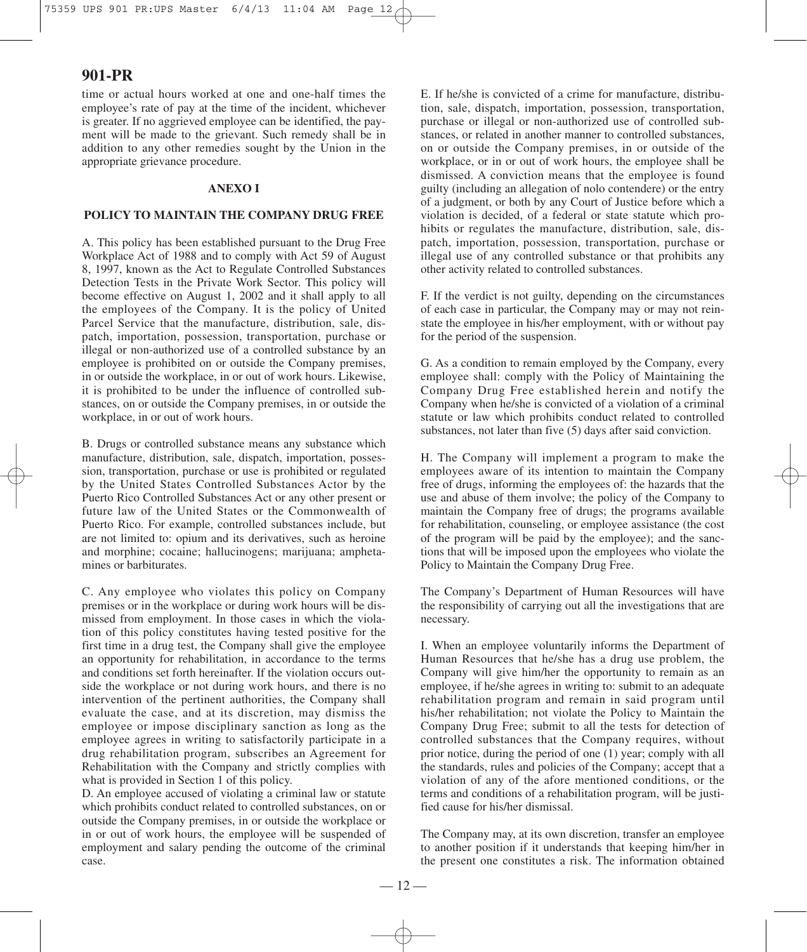time or actual hours worked at one and one-half times the employee's rate of pay at the time of the incident, whichever is greater. If no aggrieved employee can be identified, the payment will be made to the grievant. Such remedy shall be in addition to any other remedies sought by the Union in the appropriate grievance procedure.

#### **ANEXO I**

#### **POLICY TO MAINTAIN THE COMPANY DRUG FREE**

A. This policy has been established pursuant to the Drug Free Workplace Act of 1988 and to comply with Act 59 of August 8, 1997, known as the Act to Regulate Controlled Substances Detection Tests in the Private Work Sector. This policy will become effective on August 1, 2002 and it shall apply to all the employees of the Company. It is the policy of United Parcel Service that the manufacture, distribution, sale, dispatch, importation, possession, transportation, purchase or illegal or non-authorized use of a controlled substance by an employee is prohibited on or outside the Company premises, in or outside the workplace, in or out of work hours. Likewise, it is prohibited to be under the influence of controlled substances, on or outside the Company premises, in or outside the workplace, in or out of work hours.

B. Drugs or controlled substance means any substance which manufacture, distribution, sale, dispatch, importation, possession, transportation, purchase or use is prohibited or regulated by the United States Controlled Substances Actor by the Puerto Rico Controlled Substances Act or any other present or future law of the United States or the Commonwealth of Puerto Rico. For example, controlled substances include, but are not limited to: opium and its derivatives, such as heroine and morphine; cocaine; hallucinogens; marijuana; amphetamines or barbiturates.

C. Any employee who violates this policy on Company premises or in the workplace or during work hours will be dismissed from employment. In those cases in which the violation of this policy constitutes having tested positive for the first time in a drug test, the Company shall give the employee an opportunity for rehabilitation, in accordance to the terms and conditions set forth hereinafter. If the violation occurs outside the workplace or not during work hours, and there is no intervention of the pertinent authorities, the Company shall evaluate the case, and at its discretion, may dismiss the employee or impose disciplinary sanction as long as the employee agrees in writing to satisfactorily participate in a drug rehabilitation program, subscribes an Agreement for Rehabilitation with the Company and strictly complies with what is provided in Section 1 of this policy.

D. An employee accused of violating a criminal law or statute which prohibits conduct related to controlled substances, on or outside the Company premises, in or outside the workplace or in or out of work hours, the employee will be suspended of employment and salary pending the outcome of the criminal case.

E. If he/she is convicted of a crime for manufacture, distribution, sale, dispatch, importation, possession, transportation, purchase or illegal or non-authorized use of controlled substances, or related in another manner to controlled substances, on or outside the Company premises, in or outside of the workplace, or in or out of work hours, the employee shall be dismissed. A conviction means that the employee is found guilty (including an allegation of nolo contendere) or the entry of a judgment, or both by any Court of Justice before which a violation is decided, of a federal or state statute which prohibits or regulates the manufacture, distribution, sale, dispatch, importation, possession, transportation, purchase or illegal use of any controlled substance or that prohibits any other activity related to controlled substances.

F. If the verdict is not guilty, depending on the circumstances of each case in particular, the Company may or may not reinstate the employee in his/her employment, with or without pay for the period of the suspension.

G. As a condition to remain employed by the Company, every employee shall: comply with the Policy of Maintaining the Company Drug Free established herein and notify the Company when he/she is convicted of a violation of a criminal statute or law which prohibits conduct related to controlled substances, not later than five (5) days after said conviction.

H. The Company will implement a program to make the employees aware of its intention to maintain the Company free of drugs, informing the employees of: the hazards that the use and abuse of them involve; the policy of the Company to maintain the Company free of drugs; the programs available for rehabilitation, counseling, or employee assistance (the cost of the program will be paid by the employee); and the sanctions that will be imposed upon the employees who violate the Policy to Maintain the Company Drug Free.

The Company's Department of Human Resources will have the responsibility of carrying out all the investigations that are necessary.

I. When an employee voluntarily informs the Department of Human Resources that he/she has a drug use problem, the Company will give him/her the opportunity to remain as an employee, if he/she agrees in writing to: submit to an adequate rehabilitation program and remain in said program until his/her rehabilitation; not violate the Policy to Maintain the Company Drug Free; submit to all the tests for detection of controlled substances that the Company requires, without prior notice, during the period of one (1) year; comply with all the standards, rules and policies of the Company; accept that a violation of any of the afore mentioned conditions, or the terms and conditions of a rehabilitation program, will be justified cause for his/her dismissal.

The Company may, at its own discretion, transfer an employee to another position if it understands that keeping him/her in the present one constitutes a risk. The information obtained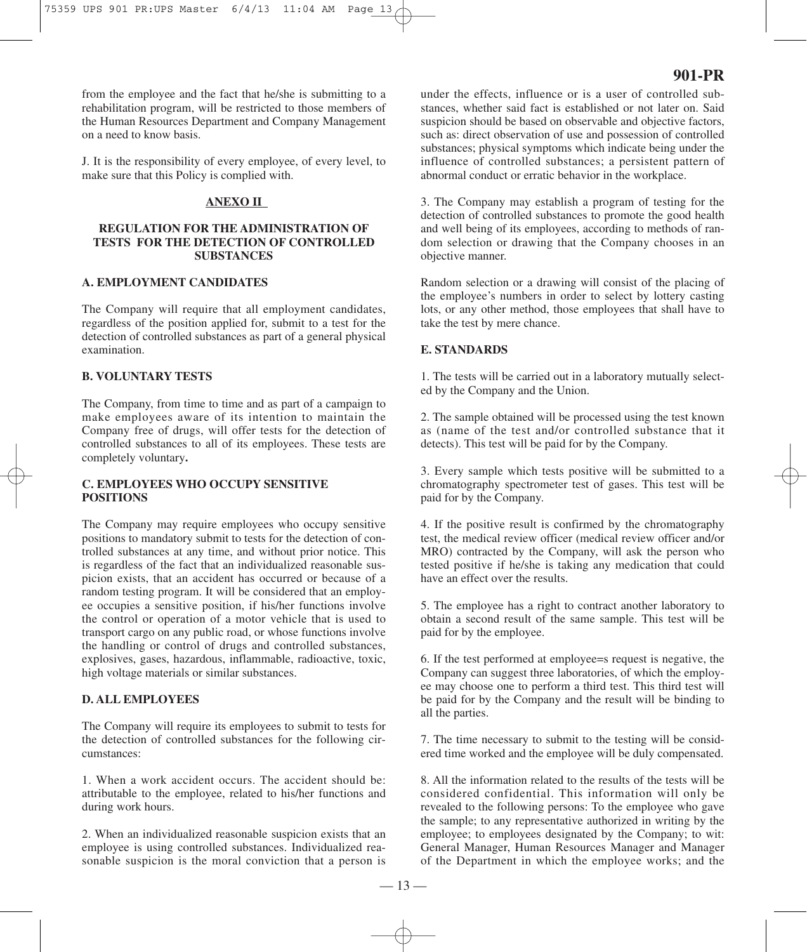from the employee and the fact that he/she is submitting to a rehabilitation program, will be restricted to those members of the Human Resources Department and Company Management on a need to know basis.

J. It is the responsibility of every employee, of every level, to make sure that this Policy is complied with.

## **ANEXO II**

## **REGULATION FOR THE ADMINISTRATION OF TESTS FOR THE DETECTION OF CONTROLLED SUBSTANCES**

#### **A. EMPLOYMENT CANDIDATES**

The Company will require that all employment candidates, regardless of the position applied for, submit to a test for the detection of controlled substances as part of a general physical examination.

## **B. VOLUNTARY TESTS**

The Company, from time to time and as part of a campaign to make employees aware of its intention to maintain the Company free of drugs, will offer tests for the detection of controlled substances to all of its employees. These tests are completely voluntary**.**

# **C. EMPLOYEES WHO OCCUPY SENSITIVE POSITIONS**

The Company may require employees who occupy sensitive positions to mandatory submit to tests for the detection of controlled substances at any time, and without prior notice. This is regardless of the fact that an individualized reasonable suspicion exists, that an accident has occurred or because of a random testing program. It will be considered that an employee occupies a sensitive position, if his/her functions involve the control or operation of a motor vehicle that is used to transport cargo on any public road, or whose functions involve the handling or control of drugs and controlled substances, explosives, gases, hazardous, inflammable, radioactive, toxic, high voltage materials or similar substances.

## **D. ALL EMPLOYEES**

The Company will require its employees to submit to tests for the detection of controlled substances for the following circumstances:

1. When a work accident occurs. The accident should be: attributable to the employee, related to his/her functions and during work hours.

2. When an individualized reasonable suspicion exists that an employee is using controlled substances. Individualized reasonable suspicion is the moral conviction that a person is under the effects, influence or is a user of controlled substances, whether said fact is established or not later on. Said suspicion should be based on observable and objective factors, such as: direct observation of use and possession of controlled substances; physical symptoms which indicate being under the influence of controlled substances; a persistent pattern of abnormal conduct or erratic behavior in the workplace.

3. The Company may establish a program of testing for the detection of controlled substances to promote the good health and well being of its employees, according to methods of random selection or drawing that the Company chooses in an objective manner.

Random selection or a drawing will consist of the placing of the employee's numbers in order to select by lottery casting lots, or any other method, those employees that shall have to take the test by mere chance.

## **E. STANDARDS**

1. The tests will be carried out in a laboratory mutually selected by the Company and the Union.

2. The sample obtained will be processed using the test known as (name of the test and/or controlled substance that it detects). This test will be paid for by the Company.

3. Every sample which tests positive will be submitted to a chromatography spectrometer test of gases. This test will be paid for by the Company.

4. If the positive result is confirmed by the chromatography test, the medical review officer (medical review officer and/or MRO) contracted by the Company, will ask the person who tested positive if he/she is taking any medication that could have an effect over the results.

5. The employee has a right to contract another laboratory to obtain a second result of the same sample. This test will be paid for by the employee.

6. If the test performed at employee=s request is negative, the Company can suggest three laboratories, of which the employee may choose one to perform a third test. This third test will be paid for by the Company and the result will be binding to all the parties.

7. The time necessary to submit to the testing will be considered time worked and the employee will be duly compensated.

8. All the information related to the results of the tests will be considered confidential. This information will only be revealed to the following persons: To the employee who gave the sample; to any representative authorized in writing by the employee; to employees designated by the Company; to wit: General Manager, Human Resources Manager and Manager of the Department in which the employee works; and the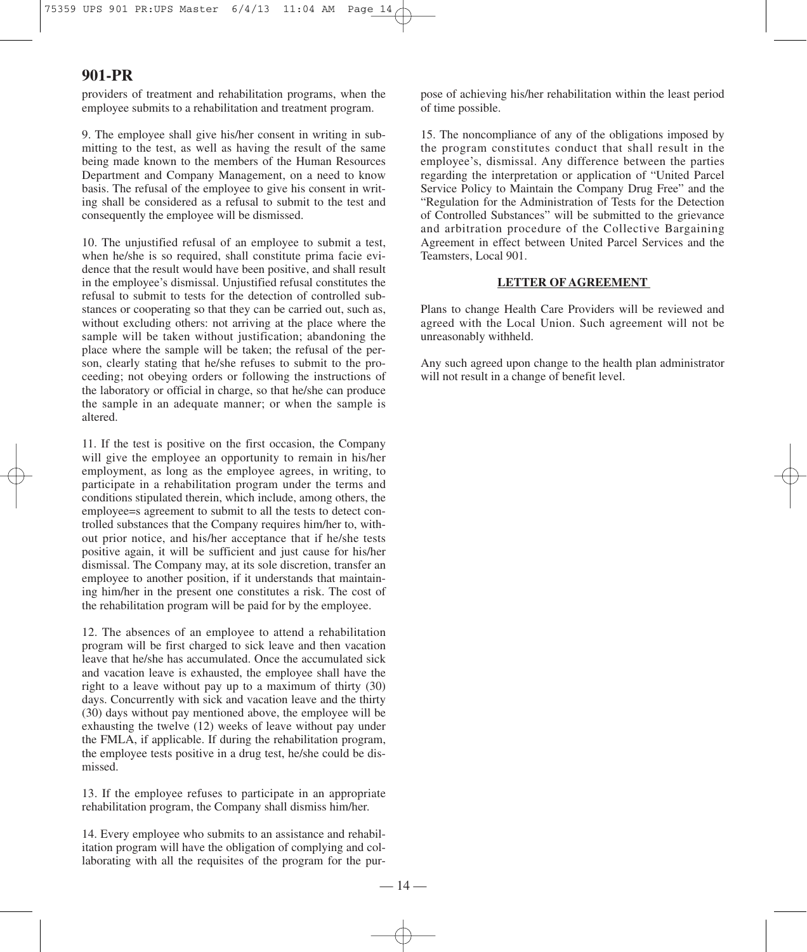providers of treatment and rehabilitation programs, when the employee submits to a rehabilitation and treatment program.

9. The employee shall give his/her consent in writing in submitting to the test, as well as having the result of the same being made known to the members of the Human Resources Department and Company Management, on a need to know basis. The refusal of the employee to give his consent in writing shall be considered as a refusal to submit to the test and consequently the employee will be dismissed.

10. The unjustified refusal of an employee to submit a test, when he/she is so required, shall constitute prima facie evidence that the result would have been positive, and shall result in the employee's dismissal. Unjustified refusal constitutes the refusal to submit to tests for the detection of controlled substances or cooperating so that they can be carried out, such as, without excluding others: not arriving at the place where the sample will be taken without justification; abandoning the place where the sample will be taken; the refusal of the person, clearly stating that he/she refuses to submit to the proceeding; not obeying orders or following the instructions of the laboratory or official in charge, so that he/she can produce the sample in an adequate manner; or when the sample is altered.

11. If the test is positive on the first occasion, the Company will give the employee an opportunity to remain in his/her employment, as long as the employee agrees, in writing, to participate in a rehabilitation program under the terms and conditions stipulated therein, which include, among others, the employee=s agreement to submit to all the tests to detect controlled substances that the Company requires him/her to, without prior notice, and his/her acceptance that if he/she tests positive again, it will be sufficient and just cause for his/her dismissal. The Company may, at its sole discretion, transfer an employee to another position, if it understands that maintaining him/her in the present one constitutes a risk. The cost of the rehabilitation program will be paid for by the employee.

12. The absences of an employee to attend a rehabilitation program will be first charged to sick leave and then vacation leave that he/she has accumulated. Once the accumulated sick and vacation leave is exhausted, the employee shall have the right to a leave without pay up to a maximum of thirty (30) days. Concurrently with sick and vacation leave and the thirty (30) days without pay mentioned above, the employee will be exhausting the twelve (12) weeks of leave without pay under the FMLA, if applicable. If during the rehabilitation program, the employee tests positive in a drug test, he/she could be dismissed.

13. If the employee refuses to participate in an appropriate rehabilitation program, the Company shall dismiss him/her.

14. Every employee who submits to an assistance and rehabilitation program will have the obligation of complying and collaborating with all the requisites of the program for the purpose of achieving his/her rehabilitation within the least period of time possible.

15. The noncompliance of any of the obligations imposed by the program constitutes conduct that shall result in the employee's, dismissal. Any difference between the parties regarding the interpretation or application of "United Parcel Service Policy to Maintain the Company Drug Free" and the "Regulation for the Administration of Tests for the Detection of Controlled Substances" will be submitted to the grievance and arbitration procedure of the Collective Bargaining Agreement in effect between United Parcel Services and the Teamsters, Local 901.

#### **LETTER OF AGREEMENT**

Plans to change Health Care Providers will be reviewed and agreed with the Local Union. Such agreement will not be unreasonably withheld.

Any such agreed upon change to the health plan administrator will not result in a change of benefit level.